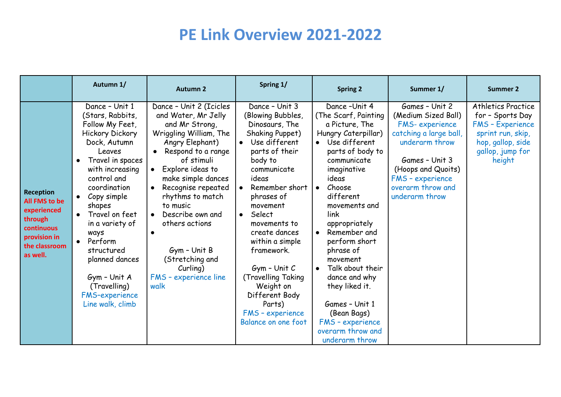|                                                                                                                        | Autumn 1/                                                                                                                                                                                                                                                                                                                                                                                               | <b>Autumn 2</b>                                                                                                                                                                                                                                                                                                                                                                                                | Spring 1/                                                                                                                                                                                                                                                                                                                                                                                                         | <b>Spring 2</b>                                                                                                                                                                                                                                                                                                                                                                                                                                                                | Summer 1/                                                                                                                                                                                              | Summer 2                                                                                                                                         |
|------------------------------------------------------------------------------------------------------------------------|---------------------------------------------------------------------------------------------------------------------------------------------------------------------------------------------------------------------------------------------------------------------------------------------------------------------------------------------------------------------------------------------------------|----------------------------------------------------------------------------------------------------------------------------------------------------------------------------------------------------------------------------------------------------------------------------------------------------------------------------------------------------------------------------------------------------------------|-------------------------------------------------------------------------------------------------------------------------------------------------------------------------------------------------------------------------------------------------------------------------------------------------------------------------------------------------------------------------------------------------------------------|--------------------------------------------------------------------------------------------------------------------------------------------------------------------------------------------------------------------------------------------------------------------------------------------------------------------------------------------------------------------------------------------------------------------------------------------------------------------------------|--------------------------------------------------------------------------------------------------------------------------------------------------------------------------------------------------------|--------------------------------------------------------------------------------------------------------------------------------------------------|
| <b>Reception</b><br>All FMS to be<br>experienced<br>through<br>continuous<br>provision in<br>the classroom<br>as well. | Dance - Unit 1<br>(Stars, Rabbits,<br>Follow My Feet,<br><b>Hickory Dickory</b><br>Dock, Autumn<br>Leaves<br>Travel in spaces<br>with increasing<br>control and<br>coordination<br>Copy simple<br>$\bullet$<br>shapes<br>Travel on feet<br>in a variety of<br>ways<br>Perform<br>$\bullet$<br>structured<br>planned dances<br>Gym - Unit A<br>(Travelling)<br><b>FMS-experience</b><br>Line walk, climb | Dance - Unit 2 (Icicles<br>and Water, Mr Jelly<br>and Mr Strong,<br>Wriggling William, The<br>Angry Elephant)<br>Respond to a range<br>of stimuli<br>Explore ideas to<br>$\bullet$<br>make simple dances<br>Recognise repeated<br>$\bullet$<br>rhythms to match<br>to music<br>Describe own and<br>others actions<br>$\bullet$<br>Gym - Unit B<br>(Stretching and<br>Curling)<br>FMS - experience line<br>walk | Dance - Unit 3<br>(Blowing Bubbles,<br>Dinosaurs, The<br>Shaking Puppet)<br>Use different<br>parts of their<br>body to<br>communicate<br>ideas<br>Remember short<br>phrases of<br>movement<br>Select<br>$\bullet$<br>movements to<br>create dances<br>within a simple<br>framework.<br>$Gym$ - Unit $C$<br>(Travelling Taking<br>Weight on<br>Different Body<br>Parts)<br>FMS - experience<br>Balance on one foot | Dance-Unit 4<br>(The Scarf, Painting<br>a Picture, The<br>Hungry Caterpillar)<br>Use different<br>parts of body to<br>communicate<br>imaginative<br>ideas<br>Choose<br>$\bullet$<br>different<br>movements and<br>link<br>appropriately<br>Remember and<br>$\bullet$<br>perform short<br>phrase of<br>movement<br>Talk about their<br>$\bullet$<br>dance and why<br>they liked it.<br>Games - Unit 1<br>(Bean Bags)<br>FMS - experience<br>overarm throw and<br>underarm throw | Games - Unit 2<br>(Medium Sized Ball)<br>FMS-experience<br>catching a large ball,<br>underarm throw<br>Games - Unit 3<br>(Hoops and Quoits)<br>FMS - experience<br>overarm throw and<br>underarm throw | <b>Athletics Practice</b><br>for - Sports Day<br><b>FMS - Experience</b><br>sprint run, skip,<br>hop, gallop, side<br>gallop, jump for<br>height |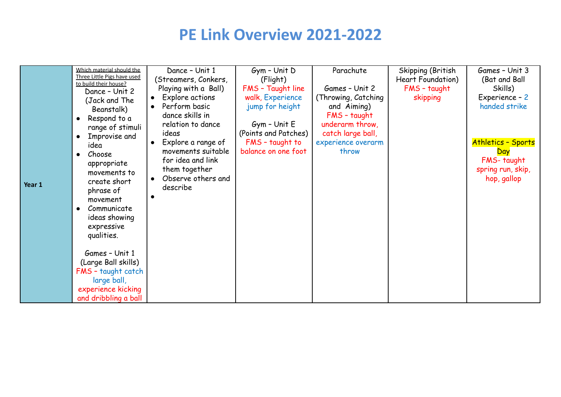|        | Which material should the                            | Dance - Unit 1       | $Gym - Unit D$       | Parachute            | Skipping (British        | Games - Unit 3            |
|--------|------------------------------------------------------|----------------------|----------------------|----------------------|--------------------------|---------------------------|
|        | Three Little Pigs have used<br>to build their house? | (Streamers, Conkers, | (Flight)             |                      | <b>Heart Foundation)</b> | (Bat and Ball             |
|        | Dance - Unit 2                                       | Playing with a Ball) | FMS - Taught line    | Games - Unit 2       | FMS - taught             | Skills)                   |
|        | (Jack and The                                        | Explore actions      | walk, Experience     | (Throwing, Catching) | skipping                 | Experience - 2            |
|        | Beanstalk)                                           | Perform basic        | jump for height      | and Aiming)          |                          | handed strike             |
|        | Respond to a<br>$\bullet$                            | dance skills in      |                      | FMS - taught         |                          |                           |
|        | range of stimuli                                     | relation to dance    | $Gym - Unit E$       | underarm throw,      |                          |                           |
|        | Improvise and<br>$\bullet$                           | ideas                | (Points and Patches) | catch large ball,    |                          |                           |
|        | idea                                                 | Explore a range of   | FMS - taught to      | experience overarm   |                          | <b>Athletics - Sports</b> |
|        | Choose                                               | movements suitable   | balance on one foot  | throw                |                          | Day                       |
|        | appropriate                                          | for idea and link    |                      |                      |                          | FMS-taught                |
|        | movements to                                         | them together        |                      |                      |                          | spring run, skip,         |
| Year 1 | create short                                         | Observe others and   |                      |                      |                          | hop, gallop               |
|        | phrase of                                            | describe             |                      |                      |                          |                           |
|        | movement                                             |                      |                      |                      |                          |                           |
|        | Communicate                                          |                      |                      |                      |                          |                           |
|        | ideas showing                                        |                      |                      |                      |                          |                           |
|        | expressive                                           |                      |                      |                      |                          |                           |
|        | qualities.                                           |                      |                      |                      |                          |                           |
|        |                                                      |                      |                      |                      |                          |                           |
|        | Games - Unit 1                                       |                      |                      |                      |                          |                           |
|        | (Large Ball skills)                                  |                      |                      |                      |                          |                           |
|        | FMS - taught catch                                   |                      |                      |                      |                          |                           |
|        | large ball,                                          |                      |                      |                      |                          |                           |
|        | experience kicking                                   |                      |                      |                      |                          |                           |
|        | and dribbling a ball                                 |                      |                      |                      |                          |                           |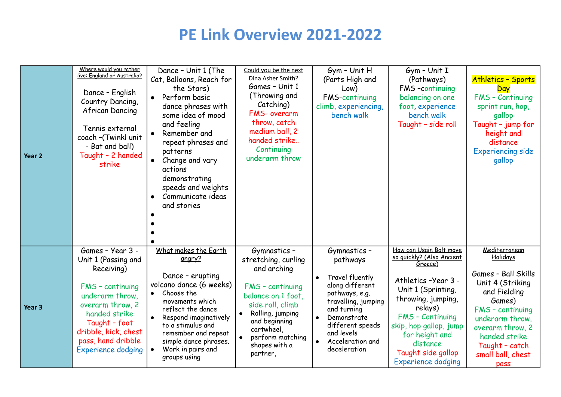| Year <sub>2</sub> | Where would you rather<br>live: England or Australia?<br>Dance - English<br>Country Dancing,<br>African Dancing<br>Tennis external<br>coach -(Twinkl unit<br>- Bat and ball)<br>Taught - 2 handed<br>strike                   | Dance - Unit 1 (The<br>Cat, Balloons, Reach for<br>the Stars)<br>Perform basic<br>dance phrases with<br>some idea of mood<br>and feeling<br>Remember and<br>repeat phrases and<br>patterns<br>Change and vary<br>$\bullet$<br>actions<br>demonstrating<br>speeds and weights<br>Communicate ideas<br>and stories | Could you be the next<br>Dina Asher Smith?<br>Games - Unit 1<br>(Throwing and<br>Catching)<br>FMS- overarm<br>throw, catch<br>medium ball, 2<br>handed strike<br>Continuing<br>underarm throw                                     | Gym - Unit H<br>(Parts High and<br>Low)<br><b>FMS-continuing</b><br>climb, experiencing,<br>bench walk                                                                                                     | $Gym - Unit I$<br>(Pathways)<br>FMS-continuing<br>balancing on one<br>foot experience<br>bench walk<br>Taught - side roll                                                                                                                                             | <b>Athletics - Sports</b><br>Day<br>FMS - Continuing<br>sprint run, hop,<br>gallop<br>Taught - jump for<br>height and<br>distance<br><b>Experiencing side</b><br>gallop                                                   |
|-------------------|-------------------------------------------------------------------------------------------------------------------------------------------------------------------------------------------------------------------------------|------------------------------------------------------------------------------------------------------------------------------------------------------------------------------------------------------------------------------------------------------------------------------------------------------------------|-----------------------------------------------------------------------------------------------------------------------------------------------------------------------------------------------------------------------------------|------------------------------------------------------------------------------------------------------------------------------------------------------------------------------------------------------------|-----------------------------------------------------------------------------------------------------------------------------------------------------------------------------------------------------------------------------------------------------------------------|---------------------------------------------------------------------------------------------------------------------------------------------------------------------------------------------------------------------------|
| Year <sub>3</sub> | Games - Year 3 -<br>Unit 1 (Passing and<br>Receiving)<br>FMS - continuing<br>underarm throw.<br>overarm throw, 2<br>handed strike<br>Taught - foot<br>dribble, kick, chest<br>pass, hand dribble<br><b>Experience dodging</b> | What makes the Earth<br>angry?<br>Dance - erupting<br>volcano dance (6 weeks)<br>Choose the<br>$\bullet$<br>movements which<br>reflect the dance<br>Respond imaginatively<br>to a stimulus and<br>remember and repeat<br>simple dance phrases.<br>Work in pairs and<br>groups using                              | Gymnastics -<br>stretching, curling<br>and arching<br>FMS - continuing<br>balance on 1 foot,<br>side roll, climb<br>Rolling, jumping<br>$\bullet$<br>and beginning<br>cartwheel,<br>perform matching<br>shapes with a<br>partner, | Gymnastics-<br>pathways<br>Travel fluently<br>along different<br>pathways, e.g.<br>travelling, jumping<br>and turning<br>Demonstrate<br>different speeds<br>and levels<br>Acceleration and<br>deceleration | How can Usain Bolt move<br>so quickly? (Also Ancient<br>Greece)<br>Athletics -Year 3 -<br>Unit 1 (Sprinting,<br>throwing, jumping,<br>relays)<br>FMS - Continuing<br>skip, hop gallop, jump<br>for height and<br>distance<br>Taught side gallop<br>Experience dodging | Mediterranean<br>Holidays<br>Games - Ball Skills<br>Unit 4 (Striking<br>and Fielding<br>Games)<br>FMS - continuing<br>underarm throw,<br>overarm throw, 2<br>handed strike<br>Taught - catch<br>small ball, chest<br>pass |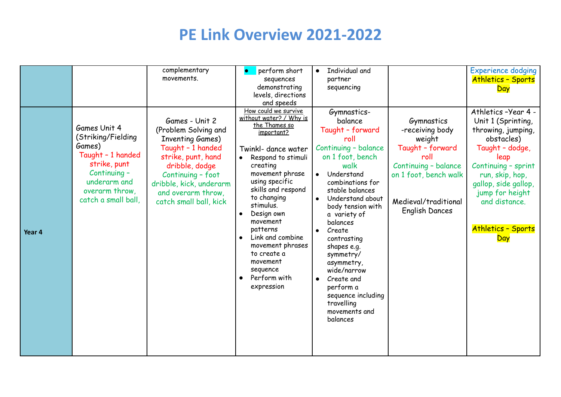|        |                                                                                                                                                            | complementary<br>movements.                                                                                                                                                                                                    | perform short<br>sequences<br>demonstrating<br>levels, directions<br>and speeds                                                                                                                                                                                                                                                                                                                                    | <b>Individual and</b><br>$\bullet$<br>partner<br>sequencing                                                                                                                                                                                                                                                                                                                                                                                           |                                                                                                                                                                       | <b>Experience dodging</b><br><b>Athletics - Sports</b><br>Day                                                                                                                                                                                      |
|--------|------------------------------------------------------------------------------------------------------------------------------------------------------------|--------------------------------------------------------------------------------------------------------------------------------------------------------------------------------------------------------------------------------|--------------------------------------------------------------------------------------------------------------------------------------------------------------------------------------------------------------------------------------------------------------------------------------------------------------------------------------------------------------------------------------------------------------------|-------------------------------------------------------------------------------------------------------------------------------------------------------------------------------------------------------------------------------------------------------------------------------------------------------------------------------------------------------------------------------------------------------------------------------------------------------|-----------------------------------------------------------------------------------------------------------------------------------------------------------------------|----------------------------------------------------------------------------------------------------------------------------------------------------------------------------------------------------------------------------------------------------|
| Year 4 | Games Unit 4<br>(Striking/Fielding<br>Games)<br>Taught - 1 handed<br>strike, punt<br>Continuing -<br>underarm and<br>overarm throw,<br>catch a small ball, | Games - Unit 2<br>(Problem Solving and<br><b>Inventing Games)</b><br>Taught - 1 handed<br>strike, punt, hand<br>dribble, dodge<br>Continuing - foot<br>dribble, kick, underarm<br>and overarm throw,<br>catch small ball, kick | How could we survive<br>without water? / Why is<br><u>the Thames so</u><br>important?<br>Twinkl- dance water<br>Respond to stimuli<br>creating<br>movement phrase<br>using specific<br>skills and respond<br>to changing<br>stimulus.<br>Design own<br>$\bullet$<br>movement<br>patterns<br>Link and combine<br>$\bullet$<br>movement phrases<br>to create a<br>movement<br>sequence<br>Perform with<br>expression | Gymnastics-<br>balance<br>Taught - forward<br>roll<br>Continuing - balance<br>on 1 foot, bench<br>walk<br>Understand<br>$\bullet$<br>combinations for<br>stable balances<br>Understand about<br>$\bullet$<br>body tension with<br>a variety of<br>balances<br>Create<br>contrasting<br>shapes e.g.<br>symmetry/<br>asymmetry,<br>wide/narrow<br>Create and<br>$\bullet$<br>perform a<br>sequence including<br>travelling<br>movements and<br>balances | Gymnastics<br>-receiving body<br>weight<br>Taught - forward<br>roll<br>Continuing - balance<br>on 1 foot, bench walk<br>Medieval/traditional<br><b>English Dances</b> | Athletics -Year 4 -<br>Unit 1 (Sprinting,<br>throwing, jumping,<br>obstacles)<br>Taught - dodge,<br>leap<br>Continuing - sprint<br>run, skip, hop,<br>gallop, side gallop,<br>jump for height<br>and distance.<br><b>Athletics - Sports</b><br>Day |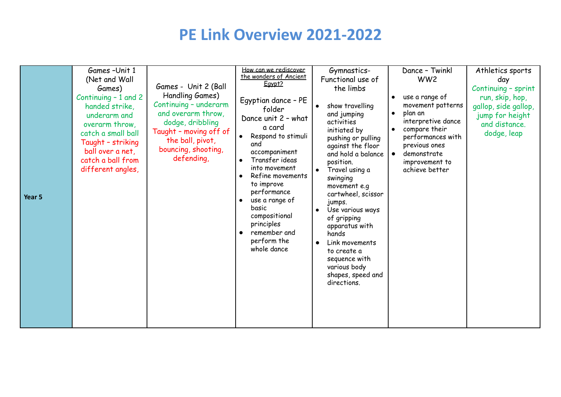| Year 5 | Games-Unit 1<br>(Net and Wall<br>Games)<br>Continuing - 1 and 2<br>handed strike,<br>underarm and<br>overarm throw.<br>catch a small ball<br>Taught - striking<br>ball over a net,<br>catch a ball from<br>different angles, | Games - Unit 2 (Ball<br>Handling Games)<br>Continuing - underarm<br>and overarm throw,<br>dodge, dribbling<br>Taught - moving off of<br>the ball, pivot,<br>bouncing, shooting,<br>defending, | <u>How can we rediscover</u><br>the wonders of Ancient<br>Egypt?<br>Egyptian dance - PE<br>folder<br>Dance unit 2 - what<br>a card<br>Respond to stimuli<br>and<br>accompaniment<br>Transfer ideas<br>into movement<br>Refine movements<br>to improve<br>performance<br>use a range of<br>$\bullet$<br>basic<br>compositional<br>principles<br>remember and<br>perform the<br>whole dance | Gymnastics-<br>Functional use of<br>the limbs<br>show travelling<br>$\bullet$<br>and jumping<br>activities<br>initiated by<br>pushing or pulling<br>against the floor<br>and hold a balance<br>position.<br>Travel using a<br>swinging<br>movement e.g<br>cartwheel, scissor<br>jumps.<br>Use various ways<br>$\bullet$<br>of gripping<br>apparatus with<br>hands<br>Link movements<br>$\bullet$<br>to create a<br>sequence with<br>various body<br>shapes, speed and<br>directions. | Dance - Twinkl<br>WW <sub>2</sub><br>use a range of<br>movement patterns<br>plan an<br>interpretive dance<br>compare their<br>$\bullet$<br>performances with<br>previous ones<br>demonstrate<br>$\bullet$<br>improvement to<br>achieve better | Athletics sports<br>day<br>Continuing - sprint<br>run, skip, hop,<br>gallop, side gallop,<br>jump for height<br>and distance.<br>dodge, leap |
|--------|------------------------------------------------------------------------------------------------------------------------------------------------------------------------------------------------------------------------------|-----------------------------------------------------------------------------------------------------------------------------------------------------------------------------------------------|-------------------------------------------------------------------------------------------------------------------------------------------------------------------------------------------------------------------------------------------------------------------------------------------------------------------------------------------------------------------------------------------|--------------------------------------------------------------------------------------------------------------------------------------------------------------------------------------------------------------------------------------------------------------------------------------------------------------------------------------------------------------------------------------------------------------------------------------------------------------------------------------|-----------------------------------------------------------------------------------------------------------------------------------------------------------------------------------------------------------------------------------------------|----------------------------------------------------------------------------------------------------------------------------------------------|
|--------|------------------------------------------------------------------------------------------------------------------------------------------------------------------------------------------------------------------------------|-----------------------------------------------------------------------------------------------------------------------------------------------------------------------------------------------|-------------------------------------------------------------------------------------------------------------------------------------------------------------------------------------------------------------------------------------------------------------------------------------------------------------------------------------------------------------------------------------------|--------------------------------------------------------------------------------------------------------------------------------------------------------------------------------------------------------------------------------------------------------------------------------------------------------------------------------------------------------------------------------------------------------------------------------------------------------------------------------------|-----------------------------------------------------------------------------------------------------------------------------------------------------------------------------------------------------------------------------------------------|----------------------------------------------------------------------------------------------------------------------------------------------|